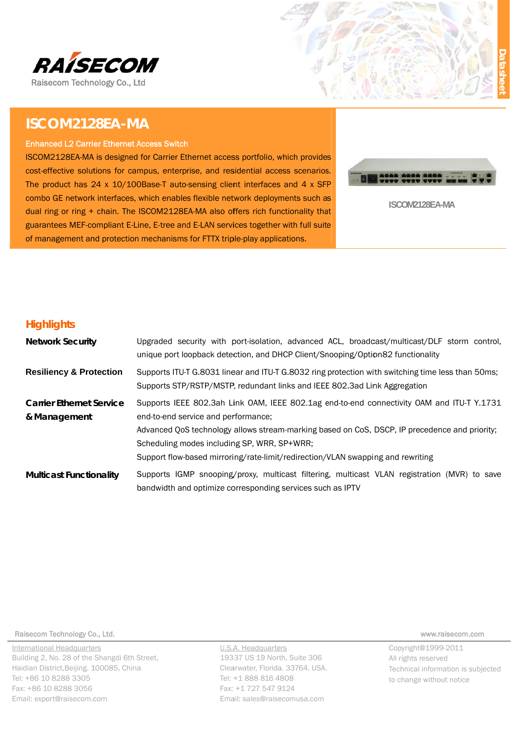

# ISCOM2128EA-MA

#### **Enhanced L2 Carrier Ethernet Access Switch**

ISCOM2128EA-MA is designed for Carrier Ethernet access portfolio, which provides cost-effective solutions for campus, enterprise, and residential access scenarios. The product has  $24 \times 10/100$ Base-T auto-sensing client interfaces and  $4 \times$  SFP combo GE network interfaces, which enables flexible network deployments such as dual ring or ring + chain. The ISCOM2128EA-MA also offers rich functionality that guarantees MEF-compliant E-Line, E-tree and E-LAN services together with full suite of management and protection mechanisms for FTTX triple-play applications.



ISCOM2128EA-MA

### **Highlights**

| <b>Network Security</b>                         | Upgraded security with port-isolation, advanced ACL, broadcast/multicast/DLF storm control,<br>unique port loopback detection, and DHCP Client/Snooping/Option82 functionality                                                                                                                                                                                      |
|-------------------------------------------------|---------------------------------------------------------------------------------------------------------------------------------------------------------------------------------------------------------------------------------------------------------------------------------------------------------------------------------------------------------------------|
| <b>Resiliency &amp; Protection</b>              | Supports ITU-T G.8031 linear and ITU-T G.8032 ring protection with switching time less than 50ms;<br>Supports STP/RSTP/MSTP, redundant links and IEEE 802.3ad Link Aggregation                                                                                                                                                                                      |
| <b>Carrier Ethernet Service</b><br>& Management | Supports IEEE 802.3ah Link OAM, IEEE 802.1ag end-to-end connectivity OAM and ITU-T Y.1731<br>end-to-end service and performance;<br>Advanced QoS technology allows stream-marking based on CoS, DSCP, IP precedence and priority;<br>Scheduling modes including SP, WRR, SP+WRR;<br>Support flow-based mirroring/rate-limit/redirection/VLAN swapping and rewriting |
| <b>Multicast Functionality</b>                  | Supports IGMP snooping/proxy, multicast filtering, multicast VLAN registration (MVR) to save<br>bandwidth and optimize corresponding services such as IPTV                                                                                                                                                                                                          |

Raisecom Technology Co., Ltd.

**International Headquarters** Building 2, No. 28 of the Shangdi 6th Street, Haidian District, Beijing. 100085, China Tel: +86 10 8288 3305 Fax: +86 10 8288 3056 Email: export@raisecom.com

U.S.A. Headquarters 19337 US 19 North, Suite 306 Clearwater, Florida. 33764. USA. Tel: +1 888 816 4808 Fax: +1 727 547 9124 Email: sales@raisecomusa.com

www.raisecom.com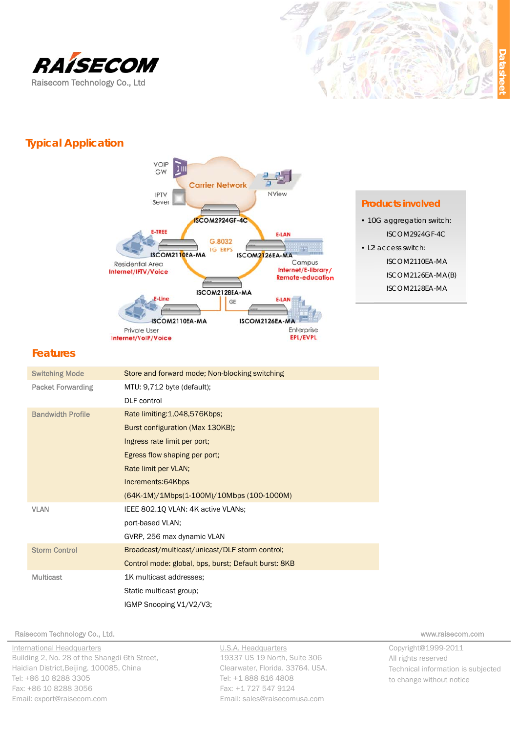



## **Typical Application**



### **Products involved**

· 10G aggregation switch: ISCOM2924GF-4C

• L2 access switch: ISCOM2110EA-MA ISCOM2126EA-MA(B) ISCOM2128EA-MA

### **Features**

| <b>Switching Mode</b>    | Store and forward mode; Non-blocking switching       |
|--------------------------|------------------------------------------------------|
| <b>Packet Forwarding</b> | MTU: 9,712 byte (default);                           |
|                          | <b>DLF</b> control                                   |
| <b>Bandwidth Profile</b> | Rate limiting: 1,048,576Kbps;                        |
|                          | Burst configuration (Max 130KB);                     |
|                          | Ingress rate limit per port;                         |
|                          | Egress flow shaping per port;                        |
|                          | Rate limit per VLAN;                                 |
|                          | Increments:64Kbps                                    |
|                          | (64K-1M)/1Mbps(1-100M)/10Mbps (100-1000M)            |
| <b>VLAN</b>              | IEEE 802.1Q VLAN: 4K active VLANs;                   |
|                          | port-based VLAN;                                     |
|                          | GVRP, 256 max dynamic VLAN                           |
| <b>Storm Control</b>     | Broadcast/multicast/unicast/DLF storm control;       |
|                          | Control mode: global, bps, burst; Default burst: 8KB |
| <b>Multicast</b>         | 1K multicast addresses:                              |
|                          | Static multicast group;                              |
|                          | IGMP Snooping V1/V2/V3;                              |

#### Raisecom Technology Co., Ltd.

**International Headquarters** Building 2, No. 28 of the Shangdi 6th Street, Haidian District, Beijing. 100085, China Tel: +86 10 8288 3305 Fax: +86 10 8288 3056 Email: export@raisecom.com

U.S.A. Headquarters 19337 US 19 North, Suite 306 Clearwater, Florida. 33764. USA. Tel: +1 888 816 4808 Fax: +1 727 547 9124 Email: sales@raisecomusa.com

www.raisecom.com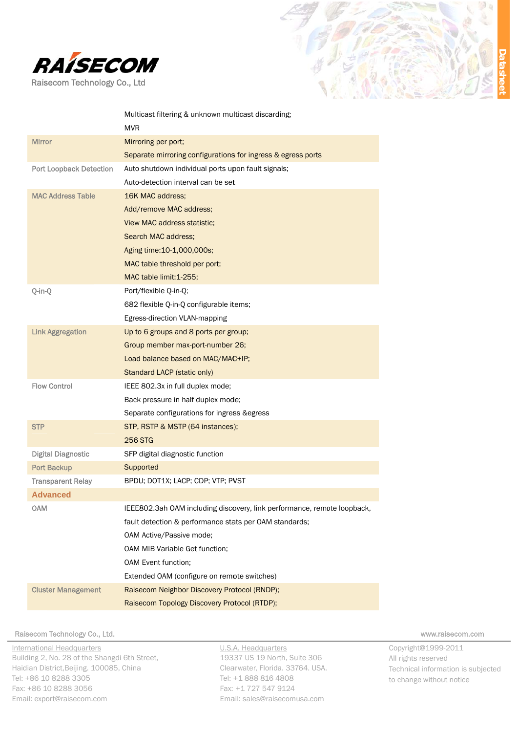



|                                | Multicast filtering & unknown multicast discarding;<br><b>MVR</b>       |
|--------------------------------|-------------------------------------------------------------------------|
| <b>Mirror</b>                  | Mirroring per port;                                                     |
|                                | Separate mirroring configurations for ingress & egress ports            |
| <b>Port Loopback Detection</b> | Auto shutdown individual ports upon fault signals;                      |
|                                | Auto-detection interval can be set                                      |
| <b>MAC Address Table</b>       | 16K MAC address;                                                        |
|                                | Add/remove MAC address;                                                 |
|                                | <b>View MAC address statistic;</b>                                      |
|                                | Search MAC address:                                                     |
|                                | Aging time: 10-1,000,000s;                                              |
|                                | MAC table threshold per port;                                           |
|                                | MAC table limit: 1-255;                                                 |
| Q-in-Q                         | Port/flexible Q-in-Q;                                                   |
|                                | 682 flexible Q-in-Q configurable items;                                 |
|                                | Egress-direction VLAN-mapping                                           |
| <b>Link Aggregation</b>        | Up to 6 groups and 8 ports per group;                                   |
|                                | Group member max-port-number 26;                                        |
|                                | Load balance based on MAC/MAC+IP;                                       |
|                                | Standard LACP (static only)                                             |
| <b>Flow Control</b>            | IEEE 802.3x in full duplex mode;                                        |
|                                | Back pressure in half duplex mode;                                      |
|                                | Separate configurations for ingress & egress                            |
| <b>STP</b>                     | STP, RSTP & MSTP (64 instances);                                        |
|                                | <b>256 STG</b>                                                          |
| <b>Digital Diagnostic</b>      | SFP digital diagnostic function                                         |
| <b>Port Backup</b>             | Supported                                                               |
| <b>Transparent Relay</b>       | BPDU; DOT1X; LACP; CDP; VTP; PVST                                       |
| <b>Advanced</b>                |                                                                         |
| <b>OAM</b>                     | IEEE802.3ah OAM including discovery, link performance, remote loopback, |
|                                | fault detection & performance stats per OAM standards;                  |
|                                | OAM Active/Passive mode;                                                |
|                                | OAM MIB Variable Get function;                                          |
|                                | OAM Event function;                                                     |
|                                | Extended OAM (configure on remote switches)                             |
| <b>Cluster Management</b>      | Raisecom Neighbor Discovery Protocol (RNDP);                            |
|                                | Raisecom Topology Discovery Protocol (RTDP):                            |

Raisecom Technology Co., Ltd.

International Headquarters Building 2, No. 28 of the Shangdi 6th Street, Haidian District, Beijing. 100085, China Tel: +86 10 8288 3305 Fax: +86 10 8288 3056 Email: export@raisecom.com

U.S.A. Headquarters 19337 US 19 North, Suite 306 Clearwater, Florida. 33764. USA. Tel: +1 888 816 4808 Fax: +1 727 547 9124 Email: sales@raisecomusa.com

www.raisecom.com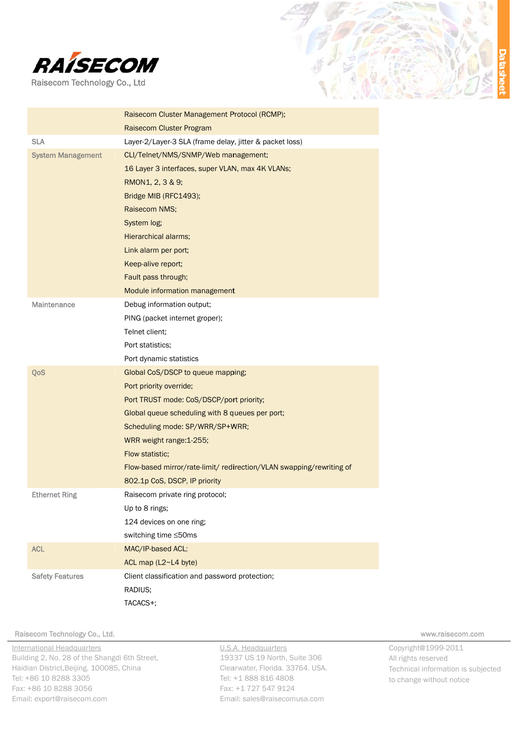



|                          | Raisecom Cluster Management Protocol (RCMP);                         |
|--------------------------|----------------------------------------------------------------------|
|                          | Raisecom Cluster Program                                             |
| <b>SLA</b>               | Layer-2/Layer-3 SLA (frame delay, jitter & packet loss)              |
| <b>System Management</b> | CLI/Telnet/NMS/SNMP/Web management;                                  |
|                          | 16 Layer 3 interfaces, super VLAN, max 4K VLANs;                     |
|                          | RMON1, 2, 3 & 9;                                                     |
|                          | Bridge MIB (RFC1493);                                                |
|                          | Raisecom NMS;                                                        |
|                          | System log;                                                          |
|                          | Hierarchical alarms;                                                 |
|                          | Link alarm per port;                                                 |
|                          | Keep-alive report;                                                   |
|                          | Fault pass through;                                                  |
|                          | Module information management                                        |
| <b>Maintenance</b>       | Debug information output;                                            |
|                          | PING (packet internet groper);                                       |
|                          | Telnet client;                                                       |
|                          | Port statistics:                                                     |
|                          | Port dynamic statistics                                              |
| QoS                      | Global CoS/DSCP to queue mapping;                                    |
|                          | Port priority override;                                              |
|                          | Port TRUST mode: CoS/DSCP/port priority;                             |
|                          | Global queue scheduling with 8 queues per port;                      |
|                          | Scheduling mode: SP/WRR/SP+WRR;                                      |
|                          | WRR weight range: 1-255;                                             |
|                          | Flow statistic;                                                      |
|                          | Flow-based mirror/rate-limit/ redirection/VLAN swapping/rewriting of |
|                          | 802.1p CoS, DSCP, IP priority                                        |
| <b>Ethernet Ring</b>     | Raisecom private ring protocol;                                      |
|                          | Up to 8 rings;                                                       |
|                          | 124 devices on one ring;                                             |
|                          | switching time ≤50ms                                                 |
| <b>ACL</b>               | MAC/IP-based ACL;                                                    |
|                          | ACL map (L2~L4 byte)                                                 |
| <b>Safety Features</b>   | Client classification and password protection;                       |
|                          | RADIUS;                                                              |
|                          | TACACS+;                                                             |

#### Raisecom Technology Co., Ltd.

International Headquarters Building 2, No. 28 of the Shangdi 6th Street, Haidian District, Beijing. 100085, China Tel: +86 10 8288 3305 Fax: +86 10 8288 3056 Email: export@raisecom.com

U.S.A. Headquarters 19337 US 19 North, Suite 306 Clearwater, Florida. 33764. USA. Tel: +1 888 816 4808 Fax: +1 727 547 9124 Email: sales@raisecomusa.com

www.raisecom.com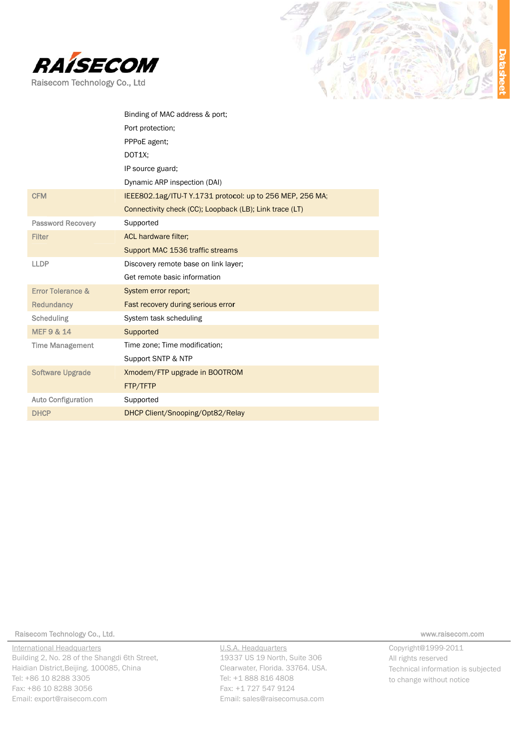



|                              | Binding of MAC address & port;                            |
|------------------------------|-----------------------------------------------------------|
|                              | Port protection;                                          |
|                              | PPPoE agent;                                              |
|                              | DOT1X;                                                    |
|                              | IP source guard;                                          |
|                              | Dynamic ARP inspection (DAI)                              |
| <b>CFM</b>                   | IEEE802.1ag/ITU-T Y.1731 protocol: up to 256 MEP, 256 MA; |
|                              | Connectivity check (CC); Loopback (LB); Link trace (LT)   |
| <b>Password Recovery</b>     | Supported                                                 |
| <b>Filter</b>                | <b>ACL hardware filter;</b>                               |
|                              | Support MAC 1536 traffic streams                          |
| <b>LLDP</b>                  | Discovery remote base on link layer;                      |
|                              | Get remote basic information                              |
| <b>Error Tolerance &amp;</b> | System error report;                                      |
| <b>Redundancy</b>            | Fast recovery during serious error                        |
| Scheduling                   | System task scheduling                                    |
| <b>MEF 9 &amp; 14</b>        | Supported                                                 |
| <b>Time Management</b>       | Time zone; Time modification;                             |
|                              | Support SNTP & NTP                                        |
| <b>Software Upgrade</b>      | Xmodem/FTP upgrade in BOOTROM                             |
|                              | FTP/TFTP                                                  |
| <b>Auto Configuration</b>    | Supported                                                 |
| <b>DHCP</b>                  | DHCP Client/Snooping/Opt82/Relay                          |
|                              |                                                           |

Raisecom Technology Co., Ltd.

International Headquarters Building 2, No. 28 of the Shangdi 6th Street, Haidian District, Beijing. 100085, China Tel: +86 10 8288 3305 Fax: +86 10 8288 3056 Email: export@raisecom.com

U.S.A. Headquarters 19337 US 19 North, Suite 306 Clearwater, Florida. 33764. USA. Tel: +1 888 816 4808 Fax: +1 727 547 9124 Email: sales@raisecomusa.com

www.raisecom.com